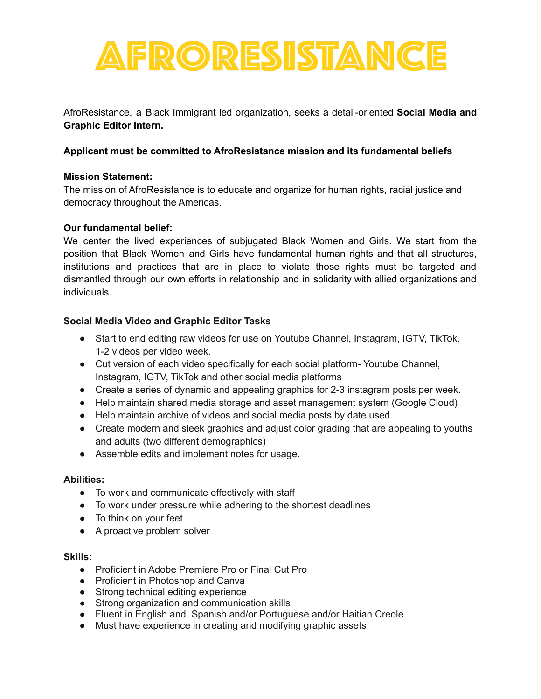

AfroResistance, a Black Immigrant led organization, seeks a detail-oriented **Social Media and Graphic Editor Intern.**

# **Applicant must be committed to AfroResistance mission and its fundamental beliefs**

# **Mission Statement:**

The mission of AfroResistance is to educate and organize for human rights, racial justice and democracy throughout the Americas.

## **Our fundamental belief:**

We center the lived experiences of subjugated Black Women and Girls. We start from the position that Black Women and Girls have fundamental human rights and that all structures, institutions and practices that are in place to violate those rights must be targeted and dismantled through our own efforts in relationship and in solidarity with allied organizations and individuals.

# **Social Media Video and Graphic Editor Tasks**

- Start to end editing raw videos for use on Youtube Channel, Instagram, IGTV, TikTok. 1-2 videos per video week.
- Cut version of each video specifically for each social platform- Youtube Channel, Instagram, IGTV, TikTok and other social media platforms
- Create a series of dynamic and appealing graphics for 2-3 instagram posts per week.
- Help maintain shared media storage and asset management system (Google Cloud)
- Help maintain archive of videos and social media posts by date used
- Create modern and sleek graphics and adjust color grading that are appealing to youths and adults (two different demographics)
- Assemble edits and implement notes for usage.

## **Abilities:**

- To work and communicate effectively with staff
- To work under pressure while adhering to the shortest deadlines
- To think on your feet
- A proactive problem solver

## **Skills:**

- Proficient in Adobe Premiere Pro or Final Cut Pro
- Proficient in Photoshop and Canva
- Strong technical editing experience
- Strong organization and communication skills
- Fluent in English and Spanish and/or Portuguese and/or Haitian Creole
- Must have experience in creating and modifying graphic assets